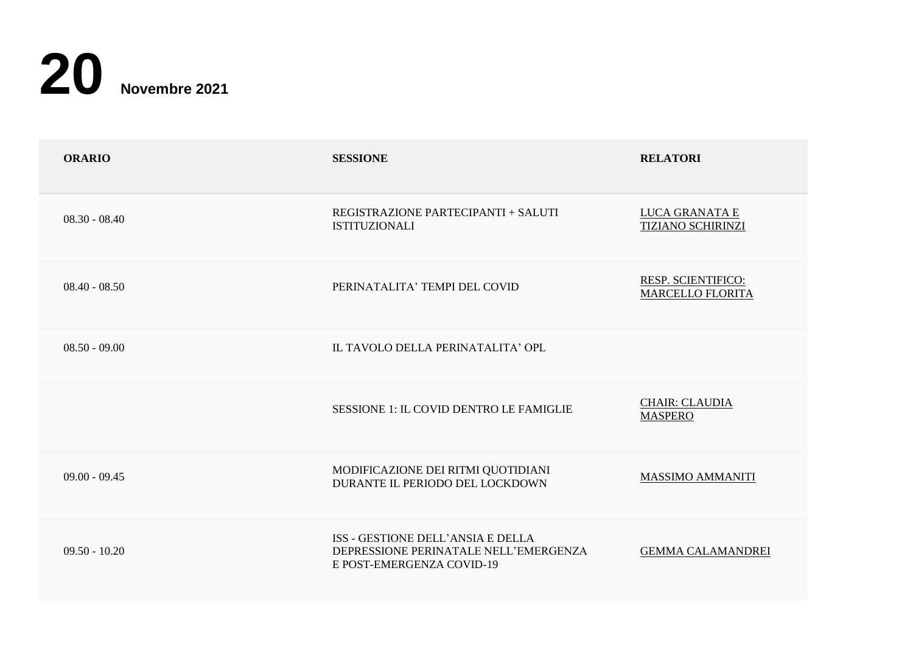

| <b>ORARIO</b>   | <b>SESSIONE</b>                                                                                         | <b>RELATORI</b>                                      |
|-----------------|---------------------------------------------------------------------------------------------------------|------------------------------------------------------|
| $08.30 - 08.40$ | REGISTRAZIONE PARTECIPANTI + SALUTI<br><b>ISTITUZIONALI</b>                                             | LUCA GRANATA E<br><b>TIZIANO SCHIRINZI</b>           |
| $08.40 - 08.50$ | PERINATALITA' TEMPI DEL COVID                                                                           | <b>RESP. SCIENTIFICO:</b><br><b>MARCELLO FLORITA</b> |
| $08.50 - 09.00$ | IL TAVOLO DELLA PERINATALITA' OPL                                                                       |                                                      |
|                 | SESSIONE 1: IL COVID DENTRO LE FAMIGLIE                                                                 | <b>CHAIR: CLAUDIA</b><br><b>MASPERO</b>              |
| $09.00 - 09.45$ | MODIFICAZIONE DEI RITMI QUOTIDIANI<br>DURANTE IL PERIODO DEL LOCKDOWN                                   | MASSIMO AMMANITI                                     |
| $09.50 - 10.20$ | ISS - GESTIONE DELL'ANSIA E DELLA<br>DEPRESSIONE PERINATALE NELL'EMERGENZA<br>E POST-EMERGENZA COVID-19 | <b>GEMMA CALAMANDREI</b>                             |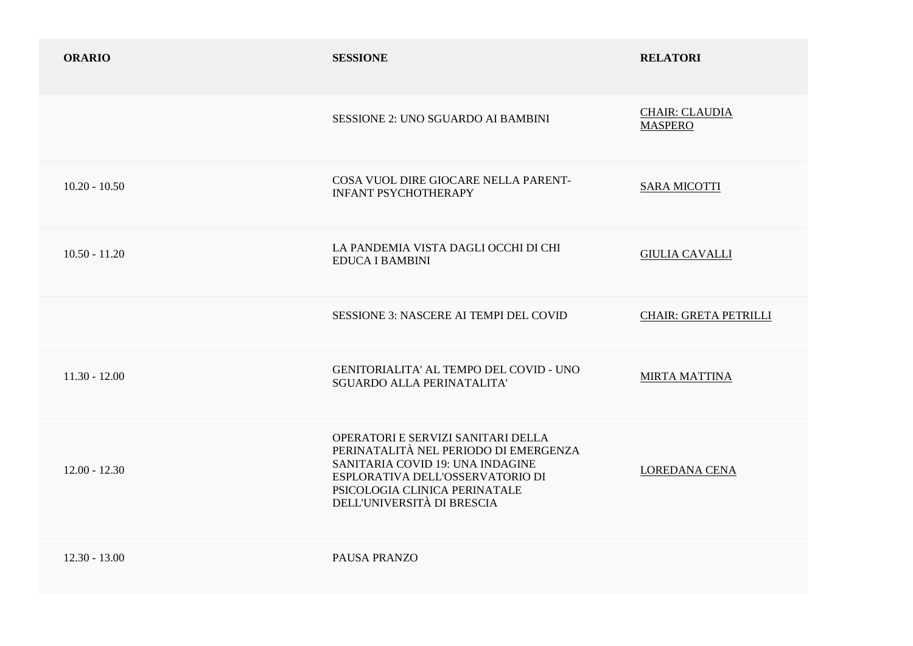| <b>ORARIO</b>   | <b>SESSIONE</b>                                                                                                                                                                                                    | <b>RELATORI</b>                         |
|-----------------|--------------------------------------------------------------------------------------------------------------------------------------------------------------------------------------------------------------------|-----------------------------------------|
|                 | <b>SESSIONE 2: UNO SGUARDO AI BAMBINI</b>                                                                                                                                                                          | <b>CHAIR: CLAUDIA</b><br><b>MASPERO</b> |
| $10.20 - 10.50$ | COSA VUOL DIRE GIOCARE NELLA PARENT-<br><b>INFANT PSYCHOTHERAPY</b>                                                                                                                                                | <b>SARA MICOTTI</b>                     |
| $10.50 - 11.20$ | LA PANDEMIA VISTA DAGLI OCCHI DI CHI<br><b>EDUCA I BAMBINI</b>                                                                                                                                                     | <b>GIULIA CAVALLI</b>                   |
|                 | <b>SESSIONE 3: NASCERE AI TEMPI DEL COVID</b>                                                                                                                                                                      | <b>CHAIR: GRETA PETRILLI</b>            |
| $11.30 - 12.00$ | GENITORIALITA' AL TEMPO DEL COVID - UNO<br><b>SGUARDO ALLA PERINATALITA'</b>                                                                                                                                       | <b>MIRTA MATTINA</b>                    |
| $12.00 - 12.30$ | OPERATORI E SERVIZI SANITARI DELLA<br>PERINATALITÀ NEL PERIODO DI EMERGENZA<br>SANITARIA COVID 19: UNA INDAGINE<br>ESPLORATIVA DELL'OSSERVATORIO DI<br>PSICOLOGIA CLINICA PERINATALE<br>DELL'UNIVERSITÀ DI BRESCIA | LOREDANA CENA                           |
| $12.30 - 13.00$ | <b>PAUSA PRANZO</b>                                                                                                                                                                                                |                                         |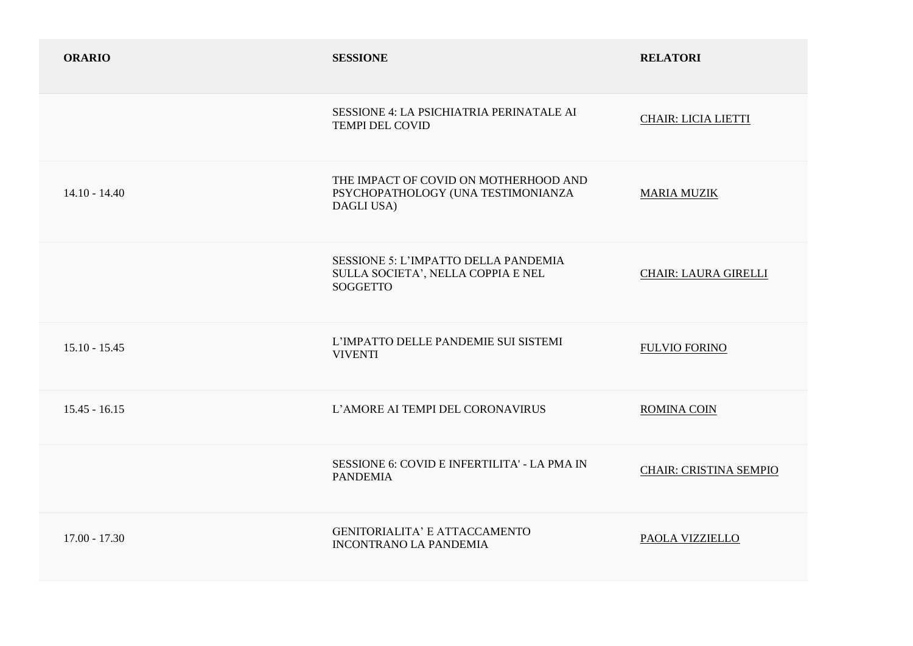| <b>ORARIO</b>   | <b>SESSIONE</b>                                                                               | <b>RELATORI</b>               |
|-----------------|-----------------------------------------------------------------------------------------------|-------------------------------|
|                 | SESSIONE 4: LA PSICHIATRIA PERINATALE AI<br><b>TEMPI DEL COVID</b>                            | <b>CHAIR: LICIA LIETTI</b>    |
| $14.10 - 14.40$ | THE IMPACT OF COVID ON MOTHERHOOD AND<br>PSYCHOPATHOLOGY (UNA TESTIMONIANZA<br>DAGLI USA)     | <b>MARIA MUZIK</b>            |
|                 | SESSIONE 5: L'IMPATTO DELLA PANDEMIA<br>SULLA SOCIETA', NELLA COPPIA E NEL<br><b>SOGGETTO</b> | <b>CHAIR: LAURA GIRELLI</b>   |
| $15.10 - 15.45$ | L'IMPATTO DELLE PANDEMIE SUI SISTEMI<br><b>VIVENTI</b>                                        | <b>FULVIO FORINO</b>          |
| $15.45 - 16.15$ | L'AMORE AI TEMPI DEL CORONAVIRUS                                                              | ROMINA COIN                   |
|                 | SESSIONE 6: COVID E INFERTILITA' - LA PMA IN<br><b>PANDEMIA</b>                               | <b>CHAIR: CRISTINA SEMPIO</b> |
| $17.00 - 17.30$ | <b>GENITORIALITA' E ATTACCAMENTO</b><br><b>INCONTRANO LA PANDEMIA</b>                         | PAOLA VIZZIELLO               |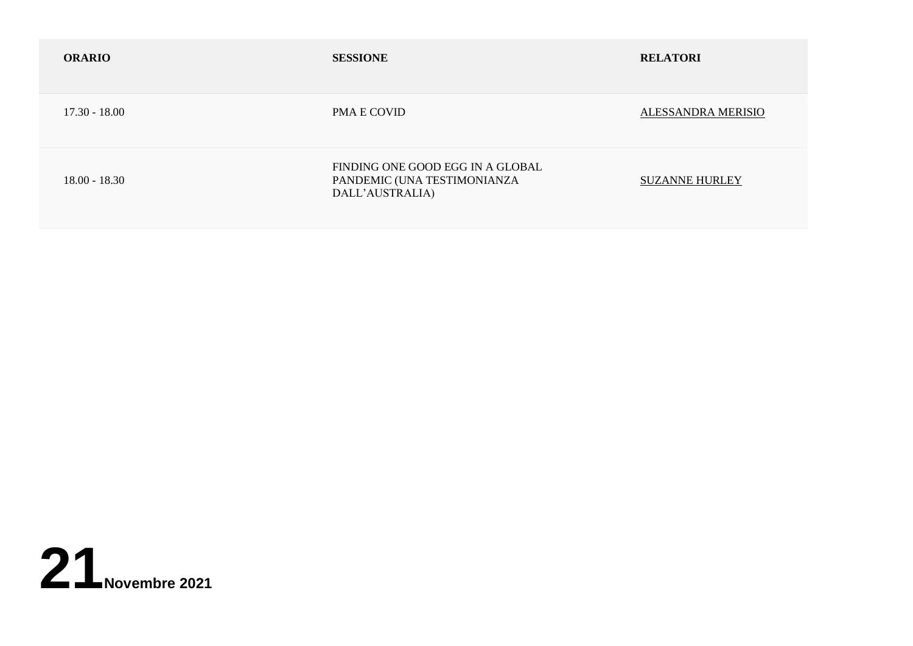| <b>ORARIO</b>   | <b>SESSIONE</b>                                                                    | <b>RELATORI</b>       |
|-----------------|------------------------------------------------------------------------------------|-----------------------|
| $17.30 - 18.00$ | PMA E COVID                                                                        | ALESSANDRA MERISIO    |
| $18.00 - 18.30$ | FINDING ONE GOOD EGG IN A GLOBAL<br>PANDEMIC (UNA TESTIMONIANZA<br>DALL'AUSTRALIA) | <b>SUZANNE HURLEY</b> |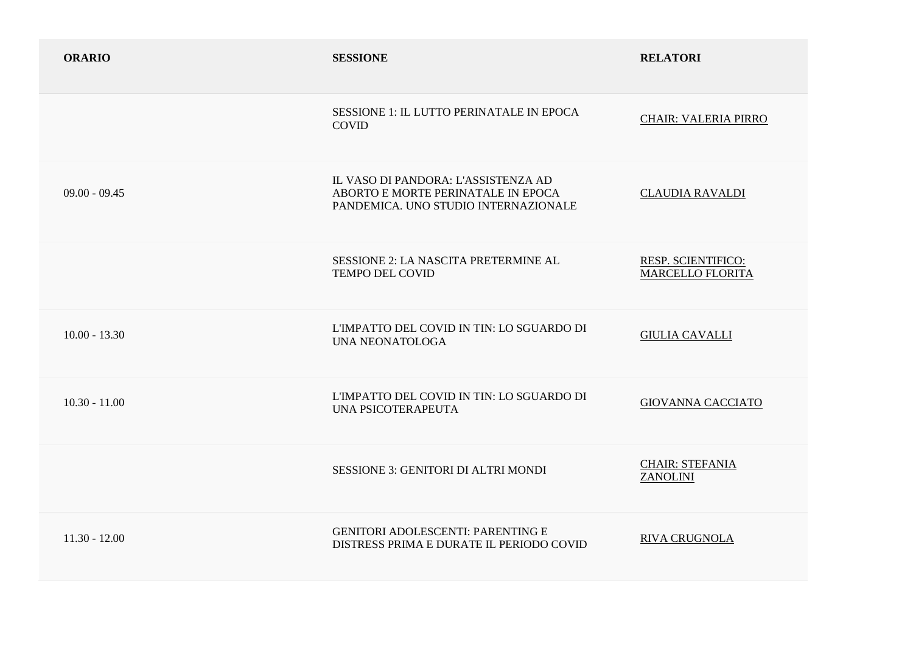| <b>ORARIO</b>   | <b>SESSIONE</b>                                                                                                   | <b>RELATORI</b>                               |
|-----------------|-------------------------------------------------------------------------------------------------------------------|-----------------------------------------------|
|                 | SESSIONE 1: IL LUTTO PERINATALE IN EPOCA<br><b>COVID</b>                                                          | <b>CHAIR: VALERIA PIRRO</b>                   |
| $09.00 - 09.45$ | IL VASO DI PANDORA: L'ASSISTENZA AD<br>ABORTO E MORTE PERINATALE IN EPOCA<br>PANDEMICA. UNO STUDIO INTERNAZIONALE | <b>CLAUDIA RAVALDI</b>                        |
|                 | SESSIONE 2: LA NASCITA PRETERMINE AL<br><b>TEMPO DEL COVID</b>                                                    | RESP. SCIENTIFICO:<br><b>MARCELLO FLORITA</b> |
| $10.00 - 13.30$ | L'IMPATTO DEL COVID IN TIN: LO SGUARDO DI<br><b>UNA NEONATOLOGA</b>                                               | <b>GIULIA CAVALLI</b>                         |
| $10.30 - 11.00$ | L'IMPATTO DEL COVID IN TIN: LO SGUARDO DI<br>UNA PSICOTERAPEUTA                                                   | <b>GIOVANNA CACCIATO</b>                      |
|                 | <b>SESSIONE 3: GENITORI DI ALTRI MONDI</b>                                                                        | <b>CHAIR: STEFANIA</b><br><b>ZANOLINI</b>     |
| $11.30 - 12.00$ | <b>GENITORI ADOLESCENTI: PARENTING E</b><br>DISTRESS PRIMA E DURATE IL PERIODO COVID                              | <b>RIVA CRUGNOLA</b>                          |